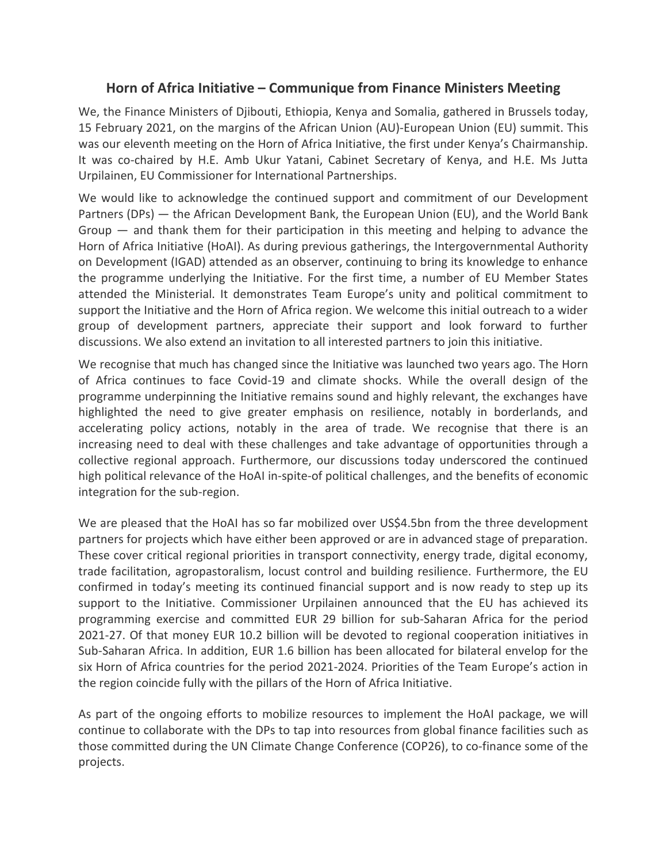## **Horn of Africa Initiative – Communique from Finance Ministers Meeting**

We, the Finance Ministers of Djibouti, Ethiopia, Kenya and Somalia, gathered in Brussels today, 15 February 2021, on the margins of the African Union (AU)-European Union (EU) summit. This was our eleventh meeting on the Horn of Africa Initiative, the first under Kenya's Chairmanship. It was co-chaired by H.E. Amb Ukur Yatani, Cabinet Secretary of Kenya, and H.E. Ms Jutta Urpilainen, EU Commissioner for International Partnerships.

We would like to acknowledge the continued support and commitment of our Development Partners (DPs) — the African Development Bank, the European Union (EU), and the World Bank Group — and thank them for their participation in this meeting and helping to advance the Horn of Africa Initiative (HoAI). As during previous gatherings, the Intergovernmental Authority on Development (IGAD) attended as an observer, continuing to bring its knowledge to enhance the programme underlying the Initiative. For the first time, a number of EU Member States attended the Ministerial. It demonstrates Team Europe's unity and political commitment to support the Initiative and the Horn of Africa region. We welcome this initial outreach to a wider group of development partners, appreciate their support and look forward to further discussions. We also extend an invitation to all interested partners to join this initiative.

We recognise that much has changed since the Initiative was launched two years ago. The Horn of Africa continues to face Covid-19 and climate shocks. While the overall design of the programme underpinning the Initiative remains sound and highly relevant, the exchanges have highlighted the need to give greater emphasis on resilience, notably in borderlands, and accelerating policy actions, notably in the area of trade. We recognise that there is an increasing need to deal with these challenges and take advantage of opportunities through a collective regional approach. Furthermore, our discussions today underscored the continued high political relevance of the HoAI in-spite-of political challenges, and the benefits of economic integration for the sub-region.

We are pleased that the HoAI has so far mobilized over US\$4.5bn from the three development partners for projects which have either been approved or are in advanced stage of preparation. These cover critical regional priorities in transport connectivity, energy trade, digital economy, trade facilitation, agropastoralism, locust control and building resilience. Furthermore, the EU confirmed in today's meeting its continued financial support and is now ready to step up its support to the Initiative. Commissioner Urpilainen announced that the EU has achieved its programming exercise and committed EUR 29 billion for sub-Saharan Africa for the period 2021-27. Of that money EUR 10.2 billion will be devoted to regional cooperation initiatives in Sub-Saharan Africa. In addition, EUR 1.6 billion has been allocated for bilateral envelop for the six Horn of Africa countries for the period 2021-2024. Priorities of the Team Europe's action in the region coincide fully with the pillars of the Horn of Africa Initiative.

As part of the ongoing efforts to mobilize resources to implement the HoAI package, we will continue to collaborate with the DPs to tap into resources from global finance facilities such as those committed during the UN Climate Change Conference (COP26), to co-finance some of the projects.